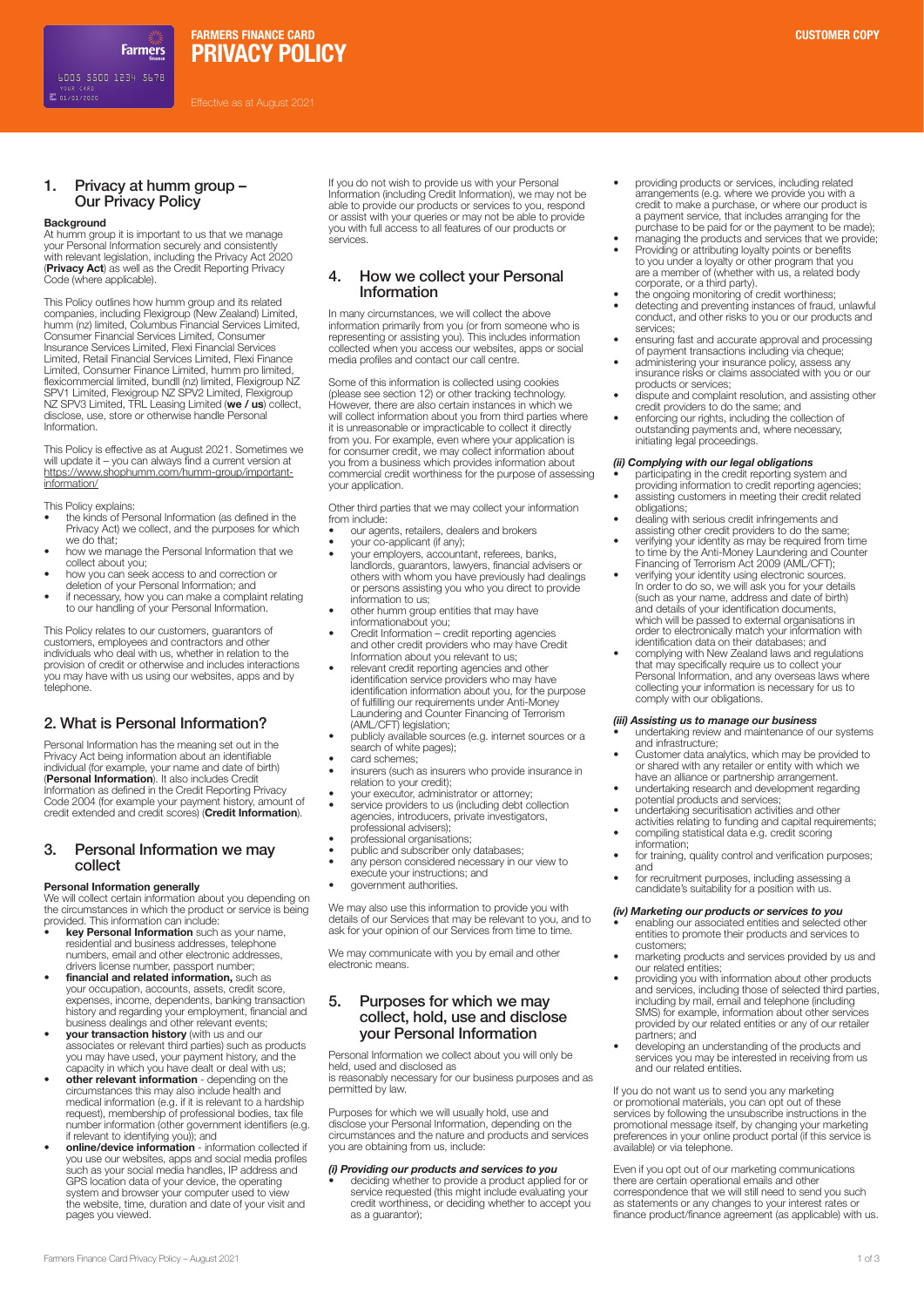Effective as at August 2021

# 1. Privacy at humm group – Our Privacy Policy

**Farmers** 

### **Background**

At humm group it is important to us that we manage your Personal Information securely and consistently with relevant legislation, including the Privacy Act 2020 (**Privacy Act**) as well as the Credit Reporting Privacy Code (where applicable).

This Policy outlines how humm group and its related companies, including Flexigroup (New Zealand) Limited, humm (nz) limited, Columbus Financial Services Limited, Consumer Financial Services Limited, Consumer Insurance Services Limited, Flexi Financial Services Limited, Retail Financial Services Limited, Flexi Finance Limited, Consumer Finance Limited, humm pro limited,<br>flexicommercial limited, bundll (nz) limited, Flexigroup NZ<br>SPV1 Limited, Flexigroup NZ SPV2 Limited, Flexigroup NZ SPV3 Limited, TRL Leasing Limited (**we / us**) collect, disclose, use, store or otherwise handle Personal Information.

This Policy is effective as at August 2021. Sometimes we will update it – you can always find a current version at https://www.shophumm.com/humm-group/importantinformation/

This Policy explains:

- the kinds of Personal Information (as defined in the Privacy Act) we collect, and the purposes for which we do that;
- how we manage the Personal Information that we collect about you;
- how you can seek access to and correction or deletion of your Personal Information; and
- if necessary, how you can make a complaint relating
- to our handling of your Personal Information. This Policy relates to our customers, guarantors of

customers, employees and contractors and other individuals who deal with us, whether in relation to the provision of credit or otherwise and includes interactions you may have with us using our websites, apps and by telephone.

# 2. What is Personal Information?

Personal Information has the meaning set out in the Privacy Act being information about an identifiable<br>individual (for example, your name and date of birth)<br>**(Personal Information**). It also includes Credit<br>Information as defined in the Credit Reporting Privacy Code 2004 (for example your payment history, amount of credit extended and credit scores) (**Credit Information**).

# 3. Personal Information we may collect

**Personal Information generally**<br>We will collect certain information about you depending on the circumstances in which the product or service is being provided. This information can include:

- **key Personal Information** such as your name, residential and business addresses, telephone numbers, email and other electronic addresses,
- drivers license number, passport number; **financial and related information,** such as your occupation, accounts, assets, credit score, expenses, income, dependents, banking transaction<br>history and regarding your employment, financial and<br>business dealings and other relevant events;<br>**your transaction history** (with us and our<br>associates or relevant third p
- you may have used, your payment history, and the capacity in which you have dealt or deal with us;
- **other relevant information** depending on the circumstances this may also include health and medical information (e.g. if it is relevant to a hardship request), membership of professional bodies, tax file<br>number information (other government identifiers (e.g.<br>if relevant to identifying you)); and<br>**• online/device information** - information collected if
- you use our websites, apps and social media profiles such as your social media handles, IP address and GPS location data of your device, the operating system and browser your computer used to view the website, time, duration and date of your visit and pages you viewed.

If you do not wish to provide us with your Personal Information (including Credit Information), we may not be able to provide our products or services to you, respond or assist with your queries or may not be able to provide you with full access to all features of our products or services.

# 4. How we collect your Personal Information

In many circumstances, we will collect the above information primarily from you (or from someone who is representing or assisting you). This includes information collected when you access our websites, apps or social media profiles and contact our call centre.

Some of this information is collected using cookies (please see section 12) or other tracking technology. However, there are also certain instances in which we will collect information about you from third parties where it is unreasonable or impracticable to collect it directly from you. For example, even where your application is for consumer credit, we may collect information about you from a business which provides information about commercial credit worthiness for the purpose of assessing your application.

Other third parties that we may collect your information from include:

- 
- our agents, retailers, dealers and brokers your co-applicant (if any); your employers, accountant, referees, banks, landlords, guarantors, lawyers, financial advisers or others with whom you have previously had dealings or persons assisting you who you direct to provide information to us;
- other humm group entities that may have
- informationabout you; Credit Information credit reporting agencies and other credit providers who may have Credit
- Information about you relevant to us; relevant credit reporting agencies and other identification service providers who may have identification information about you, for the purpose of fulfilling our requirements under Anti-Money Laundering and Counter Financing of Terrorism (AML/CFT) legislation; • publicly available sources (e.g. internet sources or a
- search of white pages);
- card schemes; • insurers (such as insurers who provide insurance in
- relation to your credit); your executor, administrator or attorney;
- service providers to us (including debt collection agencies, introducers, private investigators,
	- professional advisers);
- 
- professional organisations; public and subscriber only databases;
- any person considered necessary in our view to execute your instructions; and
- government authorities.

We may also use this information to provide you with details of our Services that may be relevant to you, and to ask for your opinion of our Services from time to time.

We may communicate with you by email and other electronic means.

# 5. Purposes for which we may collect, hold, use and disclose your Personal Information

Personal Information we collect about you will only be held, used and disclosed as is reasonably necessary for our business purposes and as permitted by law.

Purposes for which we will usually hold, use and disclose your Personal Information, depending on the circumstances and the nature and products and services you are obtaining from us, include:

# *(i) Providing our products and services to you* • deciding whether to provide a product applied for or

service requested (this might include evaluating your credit worthiness, or deciding whether to accept you as a guarantor);

- providing products or services, including related arrangements (e.g. where we provide you with a credit to make a purchase, or where our product is
- a payment service, that includes arranging for the<br>purchase to be paid for or the payment to be manely;<br>managing the products and services that we provide;<br>Providing or attributing loyalty points or benefits<br>to you under a
- the ongoing monitoring of credit worthiness; detecting and preventing instances of fraud, unlawful conduct, and other risks to you or our products and
- services; • ensuring fast and accurate approval and processing
- of payment transactions including via cheque; administering your insurance policy, assess any insurance risks or claims associated with you or our
- products or services; • dispute and complaint resolution, and assisting other
- credit providers to do the same; and • enforcing our rights, including the collection of outstanding payments and, where necessary, Dursteining paymonic com-

### *(ii) Complying with our legal obligations*

- participating in the credit reporting system and providing information to credit reporting agencies; assisting customers in meeting their credit related
- obligations; dealing with serious credit infringements and
- assisting other credit providers to do the same; • verifying your identity as may be required from time to time by the Anti-Money Laundering and Counter
- Financing of Terrorism Act 2009 (AML/CFT);<br>• verifying your identity using electronic sources.<br>In order to do so, we will ask you for your details<br>(such as your name, address and date of birth)<br>and details of your identifi order to electronically match your information with identification data on their databases; and
- complying with New Zealand laws and regulations that may specifically require us to collect your Personal Information, and any overseas laws where collecting your information is necessary for us to comply with our obligations.

- *(iii) Assisting us to manage our business* undertaking review and maintenance of our systems
- and infrastructure; Customer data analytics, which may be provided to or shared with any retailer or entity with which we have an alliance or partnership arrangement.
- undertaking research and development regarding potential products and services;
- undertaking securitisation activities and other
- activities relating to funding and capital requirements; compiling statistical data e.g. credit scoring information;
- for training, quality control and verification purposes; and
- for recruitment purposes, including assessing a candidate's suitability for a position with us.

- *(iv) Marketing our products or services to you* enabling our associated entities and selected other entities to promote their products and services to customers;
- marketing products and services provided by us and
- our related entities;<br>• providing you with information about other products<br>and services, including by mail, email and telephone (including<br>including by mail, email and telephone (including<br>SMS) for example, information ab provided by our related entities or any of our retailer partners; and • developing an understanding of the products and
- services you may be interested in receiving from us and our related entities.

If you do not want us to send you any marketing or promotional materials, you can opt out of these services by following the unsubscribe instructions in the promotional message itself, by changing your marketing preferences in your online product portal (if this service is available) or via telephone.

Even if you opt out of our marketing communications there are certain operational emails and other correspondence that we will still need to send you such as statements or any changes to your interest rates or finance product/finance agreement (as applicable) with us.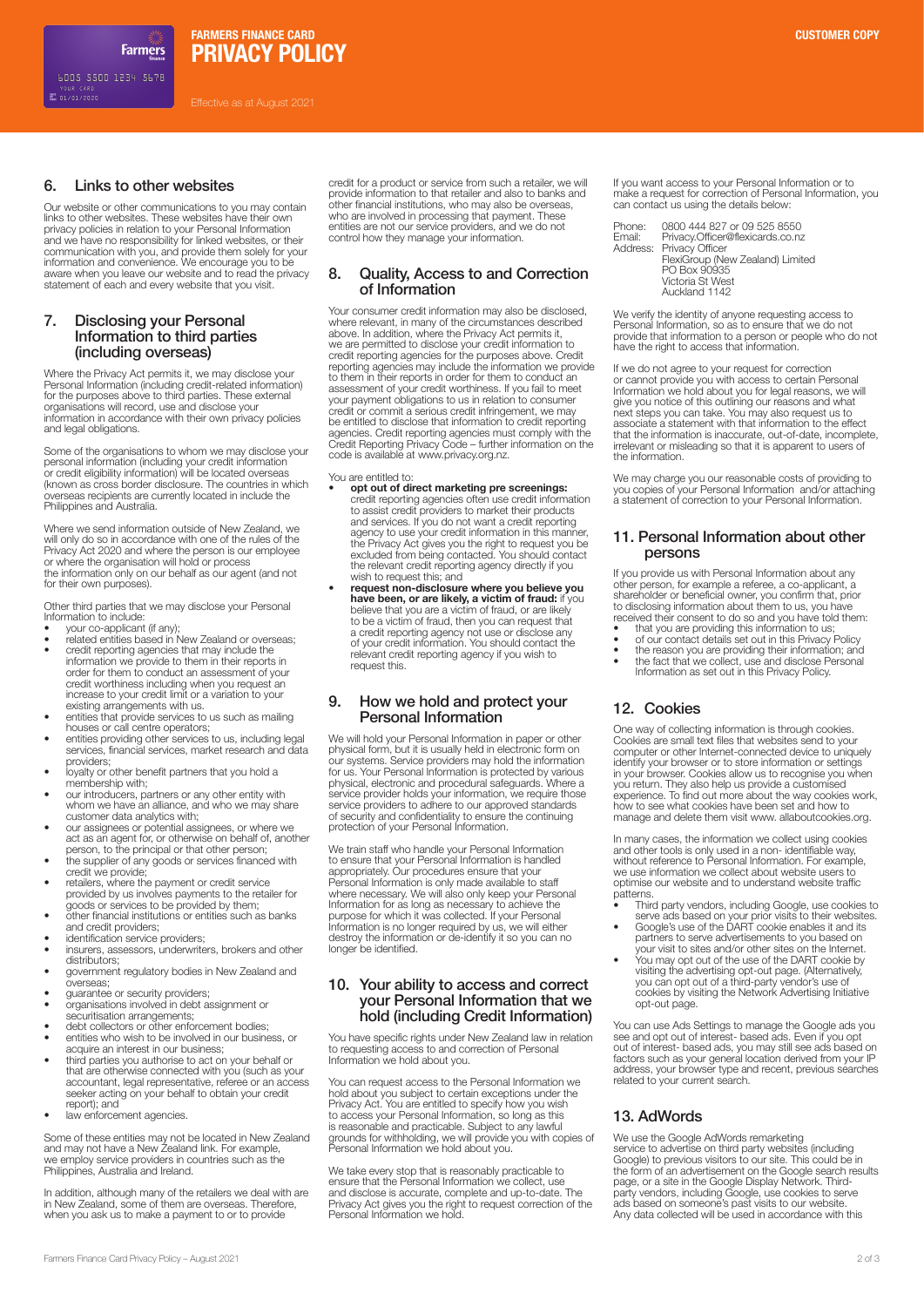**PRIVACY POLICY FARMERS FINANCE CARD CUSTOMER COPY**

Effective as at August 2021

# 6. Links to other websites

**Farmers** 

Our website or other communications to you may contain links to other websites. These websites have their own privacy policies in relation to your Personal Information and we have no responsibility for linked websites, or their communication with you, and provide them solely for your information and convenience. We encourage you to be aware when you leave our website and to read the privacy statement of each and every website that you visit.

# 7. Disclosing your Personal Information to third parties (including overseas)

Where the Privacy Act permits it, we may disclose your Personal Information (including credit-related information) for the purposes above to third parties. These external organisations will record, use and disclose your information in accordance with their own privacy policies and legal obligations.

Some of the organisations to whom we may disclose your<br>personal information (including your credit information<br>or credit eligibility information) will be located overseas<br>(known as cross border disclosure. The countries in overseas recipients are currently located in include the Philippines and Australia.

Where we send information outside of New Zealand, we will only do so in accordance with one of the rules of the Privacy Act 2020 and where the person is our employee or where the organisation will hold or process the information only on our behalf as our agent (and not for their own purposes).

Other third parties that we may disclose your Personal

- Information to include: your co-applicant (if any);
- related entities based in New Zealand or overseas; credit reporting agencies that may include the information we provide to them in their reports in order for them to conduct an assessment of your credit worthiness including when you request an increase to your credit limit or a variation to your existing arrangements with us.
- entities that provide services to us such as mailing houses or call centre operators;
- entities providing other services to us, including legal services, financial services, market research and data providers;
- loyalty or other benefit partners that you hold a membership with;
- our introducers, partners or any other entity with whom we have an alliance, and who we may share
- customer data analytics with; our assignees or potential assignees, or where we act as an agent for, or otherwise on behalf of, another person, to the principal or that other person;
- the supplier of any goods or services financed with credit we provide;
- retailers, where the payment or credit service provided by us involves payments to the retailer for goods or services to be provided by them;
- other financial institutions or entities such as banks and credit providers;
- identification service providers:
- insurers, assessors, underwriters, brokers and other
- distributors; government regulatory bodies in New Zealand and
- overseas; guarantee or security providers;
- 
- organisations involved in debt assignment or securitisation arrangements;
- debt collectors or other enforcement bodies; entities who wish to be involved in our business, or acquire an interest in our business;
- third parties you authorise to act on your behalf or that are otherwise connected with you (such as your accountant, legal representative, referee or an access seeker acting on your behalf to obtain your credit report); and
- law enforcement agencies.

Some of these entities may not be located in New Zealand and may not have a New Zealand link. For example, we employ service providers in countries such as the Philippines, Australia and Ireland.

In addition, although many of the retailers we deal with are in New Zealand, some of them are overseas. Therefore, when you ask us to make a payment to or to provide

credit for a product or service from such a retailer, we will provide information to that retailer and also to banks and other financial institutions, who may also be overseas, who are involved in processing that payment. These entities are not our service providers, and we do not control how they manage your information.

# 8. Quality, Access to and Correction of Information

Your consumer credit information may also be disclosed, where relevant, in many of the circumstances described above. In addition, where the Privacy Act permits it, we are permitted to disclose your credit information to credit reporting agencies for the purposes above. Credit reporting agencies may include the information we provide to them in their reports in order for them to conduct an assessment of your credit worthiness. If you fail to meet your payment obligations to us in relation to consumer credit or commit a serious credit infringement, we may be entitled to disclose that information to credit reporting agencies. Credit reporting agencies must comply with the Credit Reporting Privacy Code – further information on the code is available at www.privacy.org.nz.

### You are entitled to:

- **opt out of direct marketing pre screenings:** credit reporting agencies often use credit information to assist credit providers to market their products and services. If you do not want a credit reporting agency to use your credit information in this manner, the Privacy Act gives you the right to request you be excluded from being contacted. You should contact the relevant credit reporting agency directly if you wish to request this; and
- **request non-disclosure where you believe you have been, or are likely, a victim of fraud:** if you<br>believe that you are a victim of fraud, or are likely<br>to be a victim of fraud, then you can request that a credit reporting agency not use or disclose any of your credit information. You should contact the relevant credit reporting agency if you wish to request this.

# 9. How we hold and protect your Personal Information

We will hold your Personal Information in paper or other physical form, but it is usually held in electronic form on<br>our systems. Service providers may hold the information<br>for us. Your Personal Information is protected by various<br>physical, electronic and procedural safeguards. service provider holds your information, we require those service providers to adhere to our approved standards of security and confidentiality to ensure the continuing protection of your Personal Information.

We train staff who handle your Personal Information to ensure that your Personal Information is handled appropriately. Our procedures ensure that your Personal Information is only made available to staff where necessary. We will also only keep your Personal Information for as long as necessary to achieve the purpose for which it was collected. If your Personal Information is no longer required by us, we will either destroy the information or de-identify it so you can no longer be identified.

# 10. Your ability to access and correct your Personal Information that we hold (including Credit Information)

You have specific rights under New Zealand law in relation to requesting access to and correction of Personal Information we hold about you.

You can request access to the Personal Information we hold about you subject to certain exceptions under the Privacy Act. You are entitled to specify how you wish to access your Personal Information, so long as this is reasonable and practicable. Subject to any lawful grounds for withholding, we will provide you with copies of Personal Information we hold about you.

We take every stop that is reasonably practicable to ensure that the Personal Information we collect, use and disclose is accurate, complete and up-to-date. The Privacy Act gives you the right to request correction of the Personal Information we hold. If you want access to your Personal Information or to make a request for correction of Personal Information, you can contact us using the details below:

| 0800 444 827 or 09 525 8550      |
|----------------------------------|
| Privacy.Officer@flexicards.co.nz |
| Address: Privacy Officer         |
| FlexiGroup (New Zealand) Limited |
| PO Box 90935                     |
| Victoria St West                 |
| Auckland 1142                    |
|                                  |

We verify the identity of anyone requesting access to Personal Information, so as to ensure that we do not provide that information to a person or people who do not have the right to access that information.

If we do not agree to your request for correction<br>or cannot provide you with access to certain Personal<br>Information we hold about you for legal reasons, we will<br>give you notice of this outlining our reasons and what<br>next s the information.

We may charge you our reasonable costs of providing to you copies of your Personal Information and/or attaching a statement of correction to your Personal Information.

# 11. Personal Information about other persons

If you provide us with Personal Information about any other person, for example a referee, a co-applicant, a shareholder or beneficial owner, you confirm that, prior to disclosing information about them to us, you have

- received their consent to do so and you have told them: that you are providing this information to us;
- 
- of our contact details set out in this Privacy Policy the reason you are providing their information; and the fact that we collect, use and disclose Personal Information as set out in this Privacy Policy.

# 12. Cookies

One way of collecting information is through cookies. Cookies are small text files that websites send to your computer or other Internet-connected device to uniquely identify your browser or to store information or settings in your browser. Cookies allow us to recognise you when you return. They also help us provide a customised experience. To find out more about the way cookies work, how to see what cookies have been set and how to manage and delete them visit www. allaboutcookies.org.

In many cases, the information we collect using cookies and other tools is only used in a non- identifiable way, without reference to Personal Information. For example, we use information we collect about website users to optimise our website and to understand website traffic patterns.

- Third party vendors, including Google, use cookies to serve ads based on your prior visits to their websites. Google's use of the DART cookie enables it and its partners to serve advertisements to you based on
- 
- your visit to sites and/or other sites on the Internet. You may opt out of the use of the DART cookie by visiting the advertising opt-out page. (Alternatively, you can opt out of a third-party vendor's use of cookies by visiting the Network Advertising Initiative opt-out page.

You can use Ads Settings to manage the Google ads you<br>see and opt out of interest-based ads. Even if you opt<br>out of interest-based ads, you may still see ads based on<br>factors such as your general location derived from your

# 13. AdWords

We use the Google AdWords remarketing service to advertise on third party websites (including Google) to previous visitors to our site. This could be in the form of an advertisement on the Google search results<br>page, or a site in the Google Display Network. Third-<br>party vendors, including Google, use cookies to serve<br>ads based on someone's past visits to our website.<br>Any d